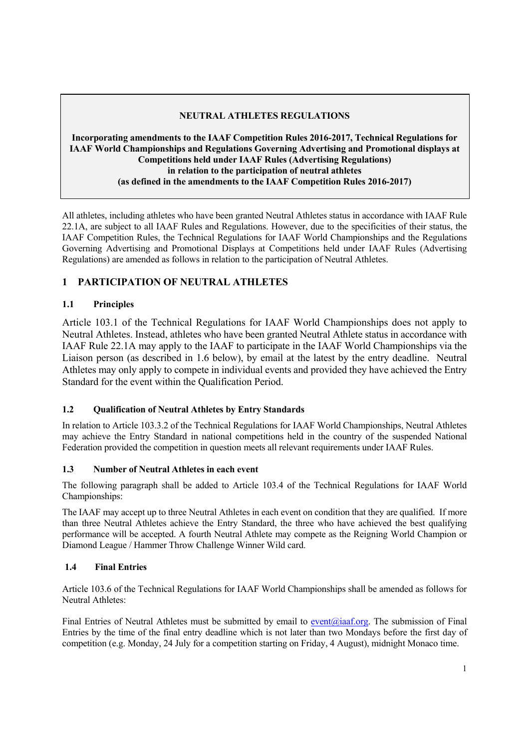## **NEUTRAL ATHLETES REGULATIONS**

### **Incorporating amendments to the IAAF Competition Rules 2016-2017, Technical Regulations for IAAF World Championships and Regulations Governing Advertising and Promotional displays at Competitions held under IAAF Rules (Advertising Regulations) in relation to the participation of neutral athletes (as defined in the amendments to the IAAF Competition Rules 2016-2017)**

All athletes, including athletes who have been granted Neutral Athletes status in accordance with IAAF Rule 22.1A, are subject to all IAAF Rules and Regulations. However, due to the specificities of their status, the IAAF Competition Rules, the Technical Regulations for IAAF World Championships and the Regulations Governing Advertising and Promotional Displays at Competitions held under IAAF Rules (Advertising Regulations) are amended as follows in relation to the participation of Neutral Athletes.

# **1 PARTICIPATION OF NEUTRAL ATHLETES**

# **1.1 Principles**

Article 103.1 of the Technical Regulations for IAAF World Championships does not apply to Neutral Athletes. Instead, athletes who have been granted Neutral Athlete status in accordance with IAAF Rule 22.1A may apply to the IAAF to participate in the IAAF World Championships via the Liaison person (as described in 1.6 below), by email at the latest by the entry deadline. Neutral Athletes may only apply to compete in individual events and provided they have achieved the Entry Standard for the event within the Qualification Period.

### **1.2 Qualification of Neutral Athletes by Entry Standards**

In relation to Article 103.3.2 of the Technical Regulations for IAAF World Championships, Neutral Athletes may achieve the Entry Standard in national competitions held in the country of the suspended National Federation provided the competition in question meets all relevant requirements under IAAF Rules.

### **1.3 Number of Neutral Athletes in each event**

The following paragraph shall be added to Article 103.4 of the Technical Regulations for IAAF World Championships:

The IAAF may accept up to three Neutral Athletes in each event on condition that they are qualified. If more than three Neutral Athletes achieve the Entry Standard, the three who have achieved the best qualifying performance will be accepted. A fourth Neutral Athlete may compete as the Reigning World Champion or Diamond League / Hammer Throw Challenge Winner Wild card.

### **1.4 Final Entries**

Article 103.6 of the Technical Regulations for IAAF World Championships shall be amended as follows for Neutral Athletes:

Final Entries of Neutral Athletes must be submitted by email to event@iaaf.org. The submission of Final Entries by the time of the final entry deadline which is not later than two Mondays before the first day of competition (e.g. Monday, 24 July for a competition starting on Friday, 4 August), midnight Monaco time.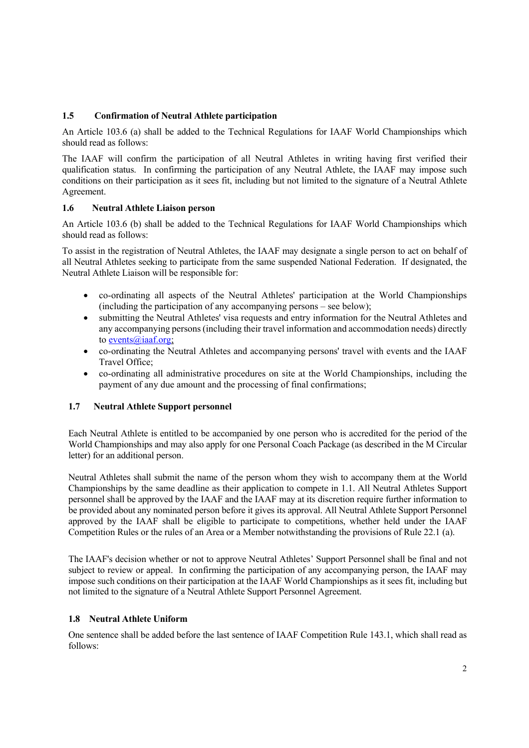### **1.5 Confirmation of Neutral Athlete participation**

An Article 103.6 (a) shall be added to the Technical Regulations for IAAF World Championships which should read as follows:

The IAAF will confirm the participation of all Neutral Athletes in writing having first verified their qualification status. In confirming the participation of any Neutral Athlete, the IAAF may impose such conditions on their participation as it sees fit, including but not limited to the signature of a Neutral Athlete Agreement.

#### **1.6 Neutral Athlete Liaison person**

An Article 103.6 (b) shall be added to the Technical Regulations for IAAF World Championships which should read as follows:

To assist in the registration of Neutral Athletes, the IAAF may designate a single person to act on behalf of all Neutral Athletes seeking to participate from the same suspended National Federation. If designated, the Neutral Athlete Liaison will be responsible for:

- co-ordinating all aspects of the Neutral Athletes' participation at the World Championships (including the participation of any accompanying persons – see below);
- submitting the Neutral Athletes' visa requests and entry information for the Neutral Athletes and any accompanying persons (including their travel information and accommodation needs) directly to events@iaaf.org;
- co-ordinating the Neutral Athletes and accompanying persons' travel with events and the IAAF Travel Office;
- co-ordinating all administrative procedures on site at the World Championships, including the payment of any due amount and the processing of final confirmations;

#### **1.7 Neutral Athlete Support personnel**

Each Neutral Athlete is entitled to be accompanied by one person who is accredited for the period of the World Championships and may also apply for one Personal Coach Package (as described in the M Circular letter) for an additional person.

Neutral Athletes shall submit the name of the person whom they wish to accompany them at the World Championships by the same deadline as their application to compete in 1.1. All Neutral Athletes Support personnel shall be approved by the IAAF and the IAAF may at its discretion require further information to be provided about any nominated person before it gives its approval. All Neutral Athlete Support Personnel approved by the IAAF shall be eligible to participate to competitions, whether held under the IAAF Competition Rules or the rules of an Area or a Member notwithstanding the provisions of Rule 22.1 (a).

The IAAF's decision whether or not to approve Neutral Athletes' Support Personnel shall be final and not subject to review or appeal. In confirming the participation of any accompanying person, the IAAF may impose such conditions on their participation at the IAAF World Championships as it sees fit, including but not limited to the signature of a Neutral Athlete Support Personnel Agreement.

#### **1.8 Neutral Athlete Uniform**

One sentence shall be added before the last sentence of IAAF Competition Rule 143.1, which shall read as follows: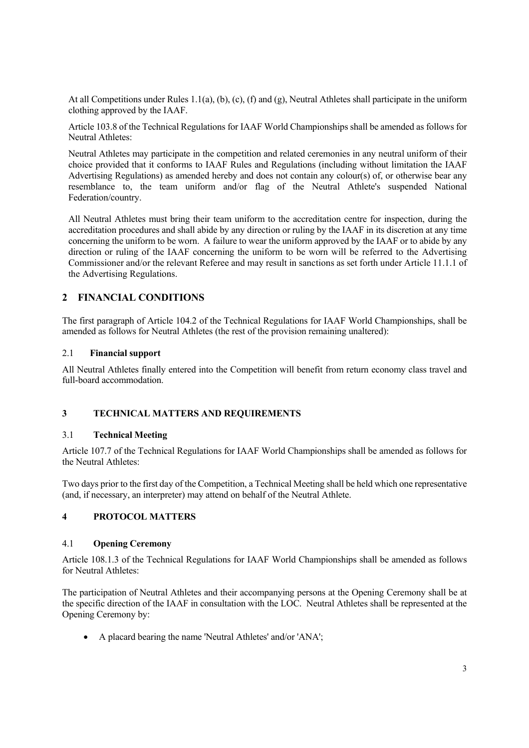At all Competitions under Rules 1.1(a), (b), (c), (f) and (g), Neutral Athletes shall participate in the uniform clothing approved by the IAAF.

Article 103.8 of the Technical Regulations for IAAF World Championships shall be amended as follows for Neutral Athletes:

Neutral Athletes may participate in the competition and related ceremonies in any neutral uniform of their choice provided that it conforms to IAAF Rules and Regulations (including without limitation the IAAF Advertising Regulations) as amended hereby and does not contain any colour(s) of, or otherwise bear any resemblance to, the team uniform and/or flag of the Neutral Athlete's suspended National Federation/country.

All Neutral Athletes must bring their team uniform to the accreditation centre for inspection, during the accreditation procedures and shall abide by any direction or ruling by the IAAF in its discretion at any time concerning the uniform to be worn. A failure to wear the uniform approved by the IAAF or to abide by any direction or ruling of the IAAF concerning the uniform to be worn will be referred to the Advertising Commissioner and/or the relevant Referee and may result in sanctions as set forth under Article 11.1.1 of the Advertising Regulations.

### **2 FINANCIAL CONDITIONS**

The first paragraph of Article 104.2 of the Technical Regulations for IAAF World Championships, shall be amended as follows for Neutral Athletes (the rest of the provision remaining unaltered):

#### 2.1 **Financial support**

All Neutral Athletes finally entered into the Competition will benefit from return economy class travel and full-board accommodation.

### **3 TECHNICAL MATTERS AND REQUIREMENTS**

#### 3.1 **Technical Meeting**

Article 107.7 of the Technical Regulations for IAAF World Championships shall be amended as follows for the Neutral Athletes:

Two days prior to the first day of the Competition, a Technical Meeting shall be held which one representative (and, if necessary, an interpreter) may attend on behalf of the Neutral Athlete.

### **4 PROTOCOL MATTERS**

#### 4.1 **Opening Ceremony**

Article 108.1.3 of the Technical Regulations for IAAF World Championships shall be amended as follows for Neutral Athletes:

The participation of Neutral Athletes and their accompanying persons at the Opening Ceremony shall be at the specific direction of the IAAF in consultation with the LOC. Neutral Athletes shall be represented at the Opening Ceremony by:

A placard bearing the name 'Neutral Athletes' and/or 'ANA';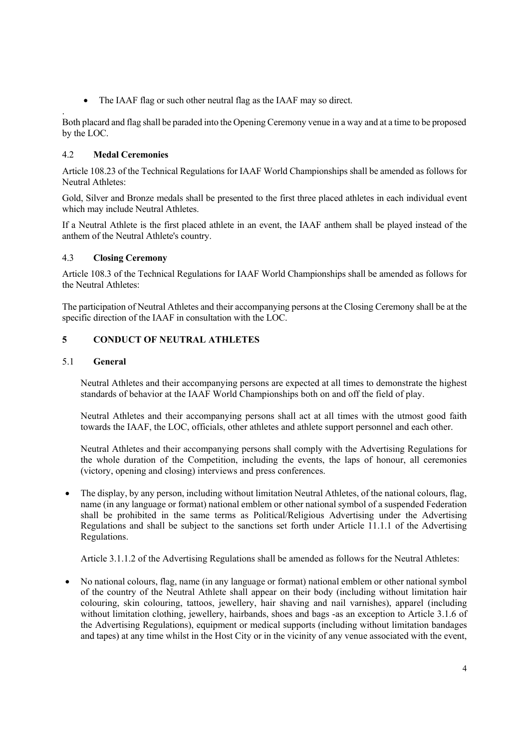The IAAF flag or such other neutral flag as the IAAF may so direct.

. Both placard and flag shall be paraded into the Opening Ceremony venue in a way and at a time to be proposed by the LOC.

### 4.2 **Medal Ceremonies**

 Article 108.23 of the Technical Regulations for IAAF World Championships shall be amended as follows for Neutral Athletes:

 Gold, Silver and Bronze medals shall be presented to the first three placed athletes in each individual event which may include Neutral Athletes.

If a Neutral Athlete is the first placed athlete in an event, the IAAF anthem shall be played instead of the anthem of the Neutral Athlete's country.

#### 4.3 **Closing Ceremony**

Article 108.3 of the Technical Regulations for IAAF World Championships shall be amended as follows for the Neutral Athletes:

The participation of Neutral Athletes and their accompanying persons at the Closing Ceremony shall be at the specific direction of the IAAF in consultation with the LOC.

### **5 CONDUCT OF NEUTRAL ATHLETES**

#### 5.1 **General**

Neutral Athletes and their accompanying persons are expected at all times to demonstrate the highest standards of behavior at the IAAF World Championships both on and off the field of play.

Neutral Athletes and their accompanying persons shall act at all times with the utmost good faith towards the IAAF, the LOC, officials, other athletes and athlete support personnel and each other.

Neutral Athletes and their accompanying persons shall comply with the Advertising Regulations for the whole duration of the Competition, including the events, the laps of honour, all ceremonies (victory, opening and closing) interviews and press conferences.

• The display, by any person, including without limitation Neutral Athletes, of the national colours, flag, name (in any language or format) national emblem or other national symbol of a suspended Federation shall be prohibited in the same terms as Political/Religious Advertising under the Advertising Regulations and shall be subject to the sanctions set forth under Article 11.1.1 of the Advertising Regulations.

Article 3.1.1.2 of the Advertising Regulations shall be amended as follows for the Neutral Athletes:

 No national colours, flag, name (in any language or format) national emblem or other national symbol of the country of the Neutral Athlete shall appear on their body (including without limitation hair colouring, skin colouring, tattoos, jewellery, hair shaving and nail varnishes), apparel (including without limitation clothing, jewellery, hairbands, shoes and bags -as an exception to Article 3.1.6 of the Advertising Regulations), equipment or medical supports (including without limitation bandages and tapes) at any time whilst in the Host City or in the vicinity of any venue associated with the event,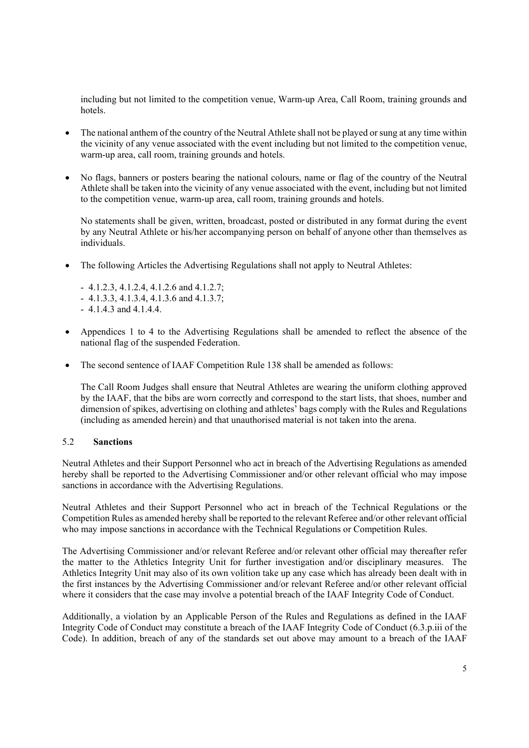including but not limited to the competition venue, Warm-up Area, Call Room, training grounds and hotels.

- The national anthem of the country of the Neutral Athlete shall not be played or sung at any time within the vicinity of any venue associated with the event including but not limited to the competition venue, warm-up area, call room, training grounds and hotels.
- No flags, banners or posters bearing the national colours, name or flag of the country of the Neutral Athlete shall be taken into the vicinity of any venue associated with the event, including but not limited to the competition venue, warm-up area, call room, training grounds and hotels.

No statements shall be given, written, broadcast, posted or distributed in any format during the event by any Neutral Athlete or his/her accompanying person on behalf of anyone other than themselves as individuals.

- The following Articles the Advertising Regulations shall not apply to Neutral Athletes:
	- 4.1.2.3, 4.1.2.4, 4.1.2.6 and 4.1.2.7;
	- 4.1.3.3, 4.1.3.4, 4.1.3.6 and 4.1.3.7;
	- 4.1.4.3 and 4.1.4.4.
- Appendices 1 to 4 to the Advertising Regulations shall be amended to reflect the absence of the national flag of the suspended Federation.
- The second sentence of IAAF Competition Rule 138 shall be amended as follows:

The Call Room Judges shall ensure that Neutral Athletes are wearing the uniform clothing approved by the IAAF, that the bibs are worn correctly and correspond to the start lists, that shoes, number and dimension of spikes, advertising on clothing and athletes' bags comply with the Rules and Regulations (including as amended herein) and that unauthorised material is not taken into the arena.

#### 5.2 **Sanctions**

Neutral Athletes and their Support Personnel who act in breach of the Advertising Regulations as amended hereby shall be reported to the Advertising Commissioner and/or other relevant official who may impose sanctions in accordance with the Advertising Regulations.

Neutral Athletes and their Support Personnel who act in breach of the Technical Regulations or the Competition Rules as amended hereby shall be reported to the relevant Referee and/or other relevant official who may impose sanctions in accordance with the Technical Regulations or Competition Rules.

The Advertising Commissioner and/or relevant Referee and/or relevant other official may thereafter refer the matter to the Athletics Integrity Unit for further investigation and/or disciplinary measures. The Athletics Integrity Unit may also of its own volition take up any case which has already been dealt with in the first instances by the Advertising Commissioner and/or relevant Referee and/or other relevant official where it considers that the case may involve a potential breach of the IAAF Integrity Code of Conduct.

Additionally, a violation by an Applicable Person of the Rules and Regulations as defined in the IAAF Integrity Code of Conduct may constitute a breach of the IAAF Integrity Code of Conduct (6.3.p.iii of the Code). In addition, breach of any of the standards set out above may amount to a breach of the IAAF